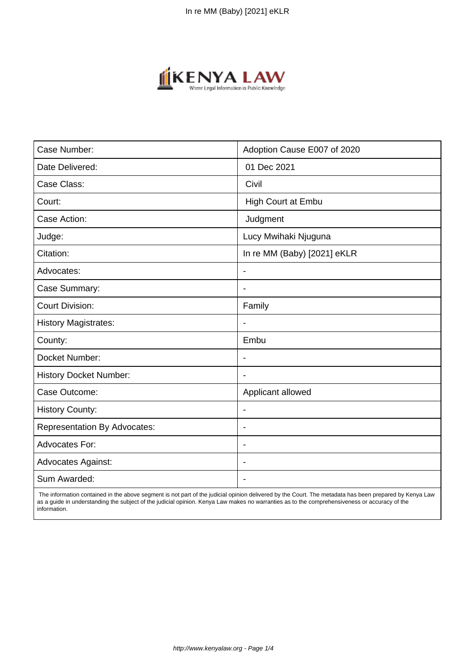

| Case Number:                        | Adoption Cause E007 of 2020 |
|-------------------------------------|-----------------------------|
| Date Delivered:                     | 01 Dec 2021                 |
| Case Class:                         | Civil                       |
| Court:                              | <b>High Court at Embu</b>   |
| Case Action:                        | Judgment                    |
| Judge:                              | Lucy Mwihaki Njuguna        |
| Citation:                           | In re MM (Baby) [2021] eKLR |
| Advocates:                          | $\blacksquare$              |
| Case Summary:                       |                             |
| <b>Court Division:</b>              | Family                      |
| <b>History Magistrates:</b>         |                             |
| County:                             | Embu                        |
| Docket Number:                      |                             |
| <b>History Docket Number:</b>       |                             |
| Case Outcome:                       | Applicant allowed           |
| <b>History County:</b>              | $\blacksquare$              |
| <b>Representation By Advocates:</b> | $\blacksquare$              |
| <b>Advocates For:</b>               | $\overline{\phantom{a}}$    |
| <b>Advocates Against:</b>           |                             |
| Sum Awarded:                        |                             |

 The information contained in the above segment is not part of the judicial opinion delivered by the Court. The metadata has been prepared by Kenya Law as a guide in understanding the subject of the judicial opinion. Kenya Law makes no warranties as to the comprehensiveness or accuracy of the information.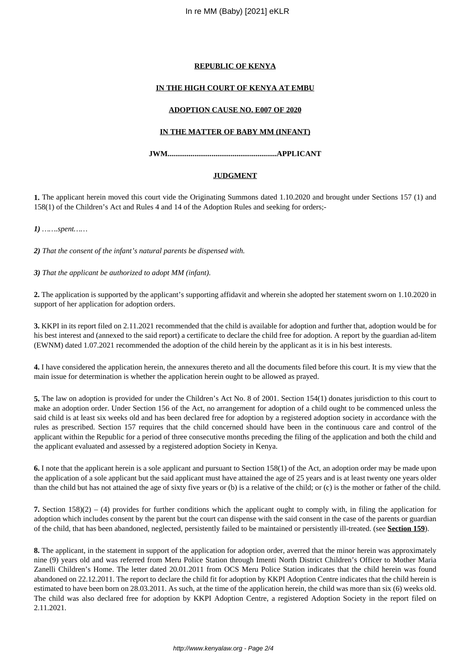# **REPUBLIC OF KENYA**

# **IN THE HIGH COURT OF KENYA AT EMBU**

### **ADOPTION CAUSE NO. E007 OF 2020**

# **IN THE MATTER OF BABY MM (INFANT)**

# **JWM.........................................................APPLICANT**

#### **JUDGMENT**

**1.** The applicant herein moved this court vide the Originating Summons dated 1.10.2020 and brought under Sections 157 (1) and 158(1) of the Children's Act and Rules 4 and 14 of the Adoption Rules and seeking for orders;-

*1) …….spent……*

*2) That the consent of the infant's natural parents be dispensed with.*

*3) That the applicant be authorized to adopt MM (infant).* 

**2.** The application is supported by the applicant's supporting affidavit and wherein she adopted her statement sworn on 1.10.2020 in support of her application for adoption orders.

**3.** KKPI in its report filed on 2.11.2021 recommended that the child is available for adoption and further that, adoption would be for his best interest and (annexed to the said report) a certificate to declare the child free for adoption. A report by the guardian ad-litem (EWNM) dated 1.07.2021 recommended the adoption of the child herein by the applicant as it is in his best interests.

**4.** I have considered the application herein, the annexures thereto and all the documents filed before this court. It is my view that the main issue for determination is whether the application herein ought to be allowed as prayed.

**5.** The law on adoption is provided for under the Children's Act No. 8 of 2001. Section 154(1) donates jurisdiction to this court to make an adoption order. Under Section 156 of the Act, no arrangement for adoption of a child ought to be commenced unless the said child is at least six weeks old and has been declared free for adoption by a registered adoption society in accordance with the rules as prescribed. Section 157 requires that the child concerned should have been in the continuous care and control of the applicant within the Republic for a period of three consecutive months preceding the filing of the application and both the child and the applicant evaluated and assessed by a registered adoption Society in Kenya.

**6.** I note that the applicant herein is a sole applicant and pursuant to Section 158(1) of the Act, an adoption order may be made upon the application of a sole applicant but the said applicant must have attained the age of 25 years and is at least twenty one years older than the child but has not attained the age of sixty five years or (b) is a relative of the child; or (c) is the mother or father of the child.

**7.** Section 158)(2) – (4) provides for further conditions which the applicant ought to comply with, in filing the application for adoption which includes consent by the parent but the court can dispense with the said consent in the case of the parents or guardian of the child, that has been abandoned, neglected, persistently failed to be maintained or persistently ill-treated. (see **Section 159**).

**8.** The applicant, in the statement in support of the application for adoption order, averred that the minor herein was approximately nine (9) years old and was referred from Meru Police Station through Imenti North District Children's Officer to Mother Maria Zanelli Children's Home. The letter dated 20.01.2011 from OCS Meru Police Station indicates that the child herein was found abandoned on 22.12.2011. The report to declare the child fit for adoption by KKPI Adoption Centre indicates that the child herein is estimated to have been born on 28.03.2011. As such, at the time of the application herein, the child was more than six (6) weeks old. The child was also declared free for adoption by KKPI Adoption Centre, a registered Adoption Society in the report filed on 2.11.2021.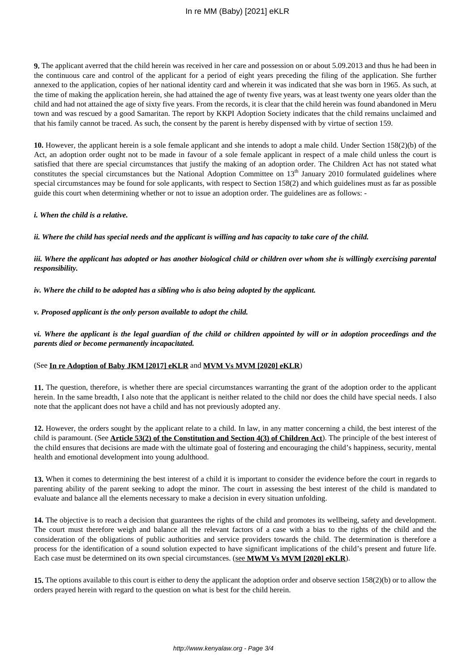**9.** The applicant averred that the child herein was received in her care and possession on or about 5.09.2013 and thus he had been in the continuous care and control of the applicant for a period of eight years preceding the filing of the application. She further annexed to the application, copies of her national identity card and wherein it was indicated that she was born in 1965. As such, at the time of making the application herein, she had attained the age of twenty five years, was at least twenty one years older than the child and had not attained the age of sixty five years. From the records, it is clear that the child herein was found abandoned in Meru town and was rescued by a good Samaritan. The report by KKPI Adoption Society indicates that the child remains unclaimed and that his family cannot be traced. As such, the consent by the parent is hereby dispensed with by virtue of section 159.

**10.** However, the applicant herein is a sole female applicant and she intends to adopt a male child. Under Section 158(2)(b) of the Act, an adoption order ought not to be made in favour of a sole female applicant in respect of a male child unless the court is satisfied that there are special circumstances that justify the making of an adoption order. The Children Act has not stated what constitutes the special circumstances but the National Adoption Committee on  $13<sup>th</sup>$  January 2010 formulated guidelines where special circumstances may be found for sole applicants, with respect to Section 158(2) and which guidelines must as far as possible guide this court when determining whether or not to issue an adoption order. The guidelines are as follows: -

### *i. When the child is a relative.*

*ii. Where the child has special needs and the applicant is willing and has capacity to take care of the child.*

*iii. Where the applicant has adopted or has another biological child or children over whom she is willingly exercising parental responsibility.*

*iv. Where the child to be adopted has a sibling who is also being adopted by the applicant.*

### *v. Proposed applicant is the only person available to adopt the child.*

*vi. Where the applicant is the legal guardian of the child or children appointed by will or in adoption proceedings and the parents died or become permanently incapacitated.* 

# (See **In re Adoption of Baby JKM [2017] eKLR** and **MVM Vs MVM [2020] eKLR**)

**11.** The question, therefore, is whether there are special circumstances warranting the grant of the adoption order to the applicant herein. In the same breadth, I also note that the applicant is neither related to the child nor does the child have special needs. I also note that the applicant does not have a child and has not previously adopted any.

**12.** However, the orders sought by the applicant relate to a child. In law, in any matter concerning a child, the best interest of the child is paramount. (See **Article 53(2) of the Constitution and Section 4(3) of Children Act**). The principle of the best interest of the child ensures that decisions are made with the ultimate goal of fostering and encouraging the child's happiness, security, mental health and emotional development into young adulthood.

**13.** When it comes to determining the best interest of a child it is important to consider the evidence before the court in regards to parenting ability of the parent seeking to adopt the minor. The court in assessing the best interest of the child is mandated to evaluate and balance all the elements necessary to make a decision in every situation unfolding.

**14.** The objective is to reach a decision that guarantees the rights of the child and promotes its wellbeing, safety and development. The court must therefore weigh and balance all the relevant factors of a case with a bias to the rights of the child and the consideration of the obligations of public authorities and service providers towards the child. The determination is therefore a process for the identification of a sound solution expected to have significant implications of the child's present and future life. Each case must be determined on its own special circumstances. (see **MWM Vs MVM [2020] eKLR**).

**15.** The options available to this court is either to deny the applicant the adoption order and observe section 158(2)(b) or to allow the orders prayed herein with regard to the question on what is best for the child herein.